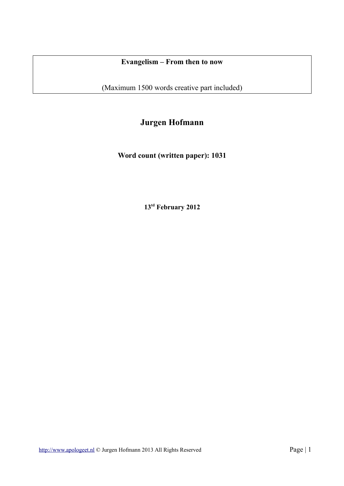## **Evangelism – From then to now**

(Maximum 1500 words creative part included)

# **Jurgen Hofmann**

**Word count (written paper): 1031**

**13td February 2012**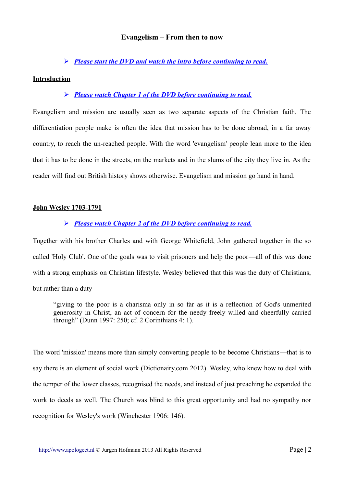#### **Evangelism – From then to now**

### ➢ *Please start the DVD and watch the intro before continuing to read.*

#### **Introduction**

## ➢ *Please watch Chapter 1 of the DVD before continuing to read.*

Evangelism and mission are usually seen as two separate aspects of the Christian faith. The differentiation people make is often the idea that mission has to be done abroad, in a far away country, to reach the un-reached people. With the word 'evangelism' people lean more to the idea that it has to be done in the streets, on the markets and in the slums of the city they live in. As the reader will find out British history shows otherwise. Evangelism and mission go hand in hand.

#### **John Wesley 1703-1791**

## ➢ *Please watch Chapter 2 of the DVD before continuing to read.*

Together with his brother Charles and with George Whitefield, John gathered together in the so called 'Holy Club'. One of the goals was to visit prisoners and help the poor—all of this was done with a strong emphasis on Christian lifestyle. Wesley believed that this was the duty of Christians, but rather than a duty

"giving to the poor is a charisma only in so far as it is a reflection of God's unmerited generosity in Christ, an act of concern for the needy freely willed and cheerfully carried through" (Dunn 1997: 250; cf. 2 Corinthians 4: 1).

The word 'mission' means more than simply converting people to be become Christians—that is to say there is an element of social work (Dictionairy.com 2012). Wesley, who knew how to deal with the temper of the lower classes, recognised the needs, and instead of just preaching he expanded the work to deeds as well. The Church was blind to this great opportunity and had no sympathy nor recognition for Wesley's work (Winchester 1906: 146).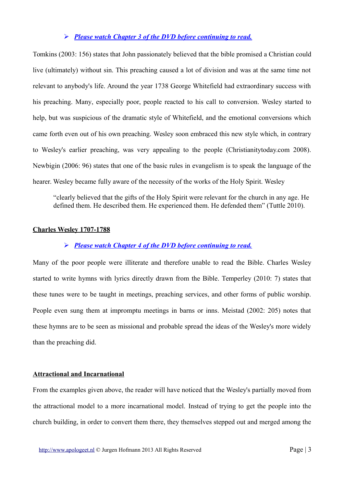### ➢ *Please watch Chapter 3 of the DVD before continuing to read.*

Tomkins (2003: 156) states that John passionately believed that the bible promised a Christian could live (ultimately) without sin. This preaching caused a lot of division and was at the same time not relevant to anybody's life. Around the year 1738 George Whitefield had extraordinary success with his preaching. Many, especially poor, people reacted to his call to conversion. Wesley started to help, but was suspicious of the dramatic style of Whitefield, and the emotional conversions which came forth even out of his own preaching. Wesley soon embraced this new style which, in contrary to Wesley's earlier preaching, was very appealing to the people (Christianitytoday.com 2008). Newbigin (2006: 96) states that one of the basic rules in evangelism is to speak the language of the hearer. Wesley became fully aware of the necessity of the works of the Holy Spirit. Wesley

"clearly believed that the gifts of the Holy Spirit were relevant for the church in any age. He defined them. He described them. He experienced them. He defended them" (Tuttle 2010).

#### **Charles Wesley 1707-1788**

#### ➢ *Please watch Chapter 4 of the DVD before continuing to read.*

Many of the poor people were illiterate and therefore unable to read the Bible. Charles Wesley started to write hymns with lyrics directly drawn from the Bible. Temperley (2010: 7) states that these tunes were to be taught in meetings, preaching services, and other forms of public worship. People even sung them at impromptu meetings in barns or inns. Meistad (2002: 205) notes that these hymns are to be seen as missional and probable spread the ideas of the Wesley's more widely than the preaching did.

#### **Attractional and Incarnational**

From the examples given above, the reader will have noticed that the Wesley's partially moved from the attractional model to a more incarnational model. Instead of trying to get the people into the church building, in order to convert them there, they themselves stepped out and merged among the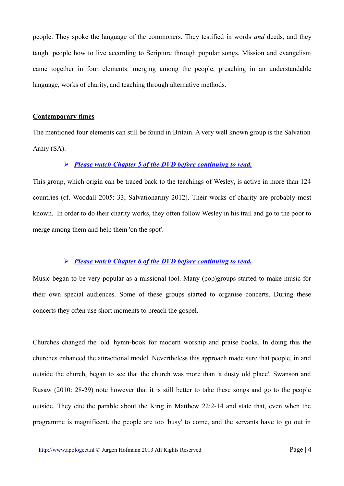people. They spoke the language of the commoners. They testified in words *and* deeds, and they taught people how to live according to Scripture through popular songs. Mission and evangelism came together in four elements: merging among the people, preaching in an understandable language, works of charity, and teaching through alternative methods.

## **Contemporary times**

The mentioned four elements can still be found in Britain. A very well known group is the Salvation Army (SA).

## ➢ *Please watch Chapter 5 of the DVD before continuing to read.*

This group, which origin can be traced back to the teachings of Wesley, is active in more than 124 countries (cf. Woodall 2005: 33, Salvationarmy 2012). Their works of charity are probably most known. In order to do their charity works, they often follow Wesley in his trail and go to the poor to merge among them and help them 'on the spot'.

#### ➢ *Please watch Chapter 6 of the DVD before continuing to read.*

Music began to be very popular as a missional tool. Many (pop)groups started to make music for their own special audiences. Some of these groups started to organise concerts. During these concerts they often use short moments to preach the gospel.

Churches changed the 'old' hymn-book for modern worship and praise books. In doing this the churches enhanced the attractional model. Nevertheless this approach made sure that people, in and outside the church, began to see that the church was more than 'a dusty old place'. Swanson and Rusaw (2010: 28-29) note however that it is still better to take these songs and go to the people outside. They cite the parable about the King in Matthew 22:2-14 and state that, even when the programme is magnificent, the people are too 'busy' to come, and the servants have to go out in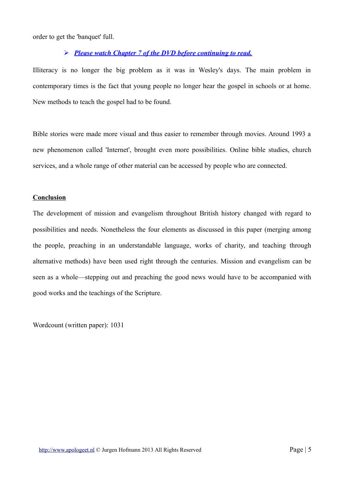order to get the 'banquet' full.

## ➢ *Please watch Chapter 7 of the DVD before continuing to read.*

Illiteracy is no longer the big problem as it was in Wesley's days. The main problem in contemporary times is the fact that young people no longer hear the gospel in schools or at home. New methods to teach the gospel had to be found.

Bible stories were made more visual and thus easier to remember through movies. Around 1993 a new phenomenon called 'Internet', brought even more possibilities. Online bible studies, church services, and a whole range of other material can be accessed by people who are connected.

#### **Conclusion**

The development of mission and evangelism throughout British history changed with regard to possibilities and needs. Nonetheless the four elements as discussed in this paper (merging among the people, preaching in an understandable language, works of charity, and teaching through alternative methods) have been used right through the centuries. Mission and evangelism can be seen as a whole—stepping out and preaching the good news would have to be accompanied with good works and the teachings of the Scripture.

Wordcount (written paper): 1031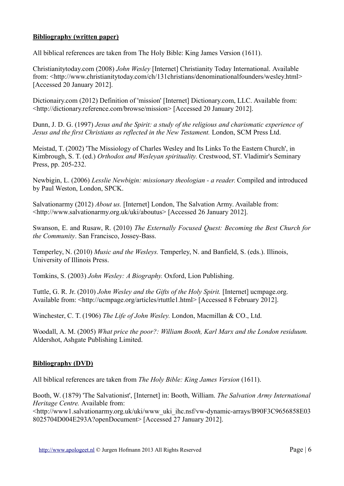## **Bibliography (written paper)**

All biblical references are taken from The Holy Bible: King James Version (1611).

Christianitytoday.com (2008) *John Wesley* [Internet] Christianity Today International. Available from: <http://www.christianitytoday.com/ch/131christians/denominationalfounders/wesley.html> [Accessed 20 January 2012].

Dictionairy.com (2012) Definition of 'mission' [Internet] Dictionary.com, LLC. Available from: <http://dictionary.reference.com/browse/mission> [Accessed 20 January 2012].

Dunn, J. D. G. (1997) *Jesus and the Spirit: a study of the religious and charismatic experience of Jesus and the first Christians as reflected in the New Testament.* London, SCM Press Ltd.

Meistad, T. (2002) 'The Missiology of Charles Wesley and Its Links To the Eastern Church', in Kimbrough, S. T. (ed.) *Orthodox and Wesleyan spirituality.* Crestwood, ST. Vladimir's Seminary Press, pp. 205-232.

Newbigin, L. (2006) *Lesslie Newbigin: missionary theologian - a reader.* Compiled and introduced by Paul Weston, London, SPCK.

Salvationarmy (2012) *About us.* [Internet] London, The Salvation Army. Available from: <http://www.salvationarmy.org.uk/uki/aboutus> [Accessed 26 January 2012].

Swanson, E. and Rusaw, R. (2010) *The Externally Focused Quest: Becoming the Best Church for the Community*. San Francisco, Jossey-Bass.

Temperley, N. (2010) *Music and the Wesleys.* Temperley, N. and Banfield, S. (eds.). Illinois, University of Illinois Press.

Tomkins, S. (2003) *John Wesley: A Biography.* Oxford, Lion Publishing.

Tuttle, G. R. Jr. (2010) *John Wesley and the Gifts of the Holy Spirit.* [Internet] ucmpage.org. Available from: <http://ucmpage.org/articles/rtuttle1.html> [Accessed 8 February 2012].

Winchester, C. T. (1906) *The Life of John Wesley.* London, Macmillan & CO., Ltd.

Woodall, A. M. (2005) *What price the poor?: William Booth, Karl Marx and the London residuum.*  Aldershot, Ashgate Publishing Limited.

## **Bibliography (DVD)**

All biblical references are taken from *The Holy Bible: King James Version* (1611).

Booth, W. (1879) 'The Salvationist', [Internet] in: Booth, William. *The Salvation Army International Heritage Centre.* Available from:

<http://www1.salvationarmy.org.uk/uki/www\_uki\_ihc.nsf/vw-dynamic-arrays/B90F3C9656858E03 8025704D004E293A?openDocument> [Accessed 27 January 2012].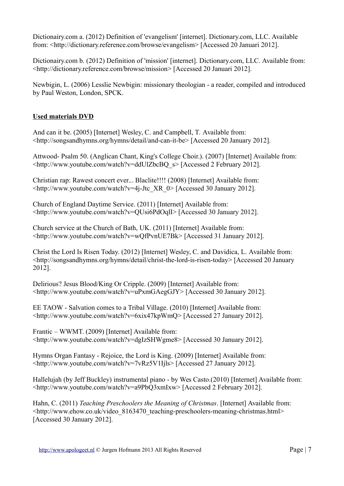Dictionairy.com a. (2012) Definition of 'evangelism' [internet]. Dictionary.com, LLC. Available from: <http://dictionary.reference.com/browse/evangelism> [Accessed 20 Januari 2012].

Dictionairy.com b. (2012) Definition of 'mission' [internet]. Dictionary.com, LLC. Available from: <http://dictionary.reference.com/browse/mission> [Accessed 20 Januari 2012].

Newbigin, L. (2006) Lesslie Newbigin: missionary theologian - a reader, compiled and introduced by Paul Weston, London, SPCK.

## **Used materials DVD**

And can it be. (2005) [Internet] Wesley, C. and Campbell, T*.* Available from: <http://songsandhymns.org/hymns/detail/and-can-it-be> [Accessed 20 January 2012].

Attwood- Psalm 50. (Anglican Chant, King's College Choir.). (2007) [Internet] Available from: <http://www.youtube.com/watch?v=ddUlZbcBQ\_s> [Accessed 2 February 2012].

Christian rap: Rawest concert ever... Blaclite!!!! (2008) [Internet] Available from: <http://www.youtube.com/watch?v=4j-Jtc\_XR\_0> [Accessed 30 January 2012].

Church of England Daytime Service. (2011) [Internet] Available from: <http://www.youtube.com/watch?v=QUsi6PdOqlI> [Accessed 30 January 2012].

Church service at the Church of Bath, UK. (2011) [Internet] Available from: <http://www.youtube.com/watch?v=wQfPvnUE7Bk> [Accessed 31 January 2012].

Christ the Lord Is Risen Today. (2012) [Internet] Wesley, C. and Davidica, L. Available from: <http://songsandhymns.org/hymns/detail/christ-the-lord-is-risen-today> [Accessed 20 January 2012].

Delirious? Jesus Blood/King Or Cripple. (2009) [Internet] Available from: <http://www.youtube.com/watch?v=uPxmGAegGJY> [Accessed 30 January 2012].

EE TAOW - Salvation comes to a Tribal Village. (2010) [Internet] Available from: <http://www.youtube.com/watch?v=6xix47kpWmQ> [Accessed 27 January 2012].

Frantic – WWMT. (2009) [Internet] Available from: <http://www.youtube.com/watch?v=dgIzSHWgme8> [Accessed 30 January 2012].

Hymns Organ Fantasy - Rejoice, the Lord is King. (2009) [Internet] Available from: <http://www.youtube.com/watch?v=7vRz5V1Ijls> [Accessed 27 January 2012].

Hallelujah (by Jeff Buckley) instrumental piano - by Wes Casto.(2010) [Internet] Available from: <http://www.youtube.com/watch?v=a9PbQ3xmIxw> [Accessed 2 February 2012].

Hahn, C. (2011) *Teaching Preschoolers the Meaning of Christmas*. [Internet] Available from: <http://www.ehow.co.uk/video\_8163470\_teaching-preschoolers-meaning-christmas.html> [Accessed 30 January 2012].